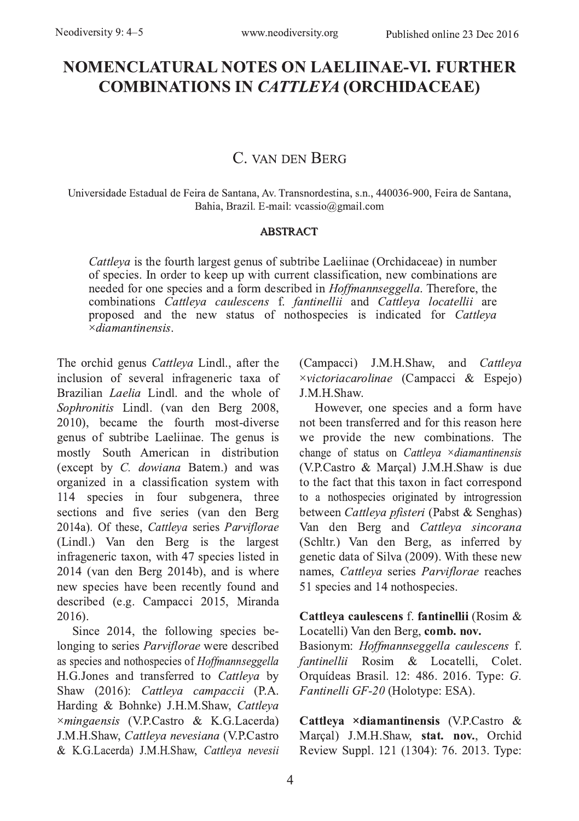# **NOMENCLATURAL NOTES ON LAELIINAE-VI. FURTHER COMBINATIONS IN CATTLEYA (ORCHIDACEAE)**

## C. VAN DEN BERG

Universidade Estadual de Feira de Santana, Av. Transnordestina, s.n., 440036-900, Feira de Santana, Bahia, Brazil. E-mail: vcassio@gmail.com

#### **ABSTRACT**

*Cattleva* is the fourth largest genus of subtribe Laeliinae (Orchidaceae) in number of species. In order to keep up with current classification, new combinations are needed for one species and a form described in *Hoffmannseggella*. Therefore, the combinations *Cattleya caulescens* f. fantinellii and *Cattleya locatellii* are proposed and the new status of nothospecies is indicated for *Cattleya*  $\times diamantinensis$ 

The orchid genus Cattleya Lindl., after the inclusion of several infrageneric taxa of Brazilian *Laelia* Lindl, and the whole of Sophronitis Lindl. (van den Berg 2008, 2010), became the fourth most-diverse genus of subtribe Laeliinae. The genus is mostly South American in distribution (except by C. dowiana Batem.) and was organized in a classification system with 114 species in four subgenera, three sections and five series (van den Berg 2014a). Of these, Cattleya series Parviflorae (Lindl.) Van den Berg is the largest infrageneric taxon, with 47 species listed in 2014 (van den Berg 2014b), and is where new species have been recently found and described (e.g. Campacci 2015, Miranda 2016).

Since 2014, the following species belonging to series *Parviflorae* were described as species and nothospecies of Hoffmannseggella H.G.Jones and transferred to Cattleya by Shaw (2016): Cattleya campaccii (P.A. Harding & Bohnke) J.H.M.Shaw, Cattleya ×mingaensis (V.P.Castro & K.G.Lacerda) J.M.H.Shaw, Cattleva nevesiana (V.P.Castro & K.G.Lacerda) J.M.H.Shaw, Cattleya nevesii (Campacci) J.M.H.Shaw, and Cattleya  $\times$ victoriacarolinae (Campacci & Espejo) J.M.H.Shaw.

However, one species and a form have not been transferred and for this reason here we provide the new combinations. The change of status on Cattleya × diamantinensis (V.P.Castro & Marcal) J.M.H.Shaw is due to the fact that this taxon in fact correspond to a nothospecies originated by introgression between Cattleva pfisteri (Pabst & Senghas) Van den Berg and Cattleva sincorana (Schltr.) Van den Berg, as inferred by genetic data of Silva (2009). With these new names, Cattleva series Parviflorae reaches 51 species and 14 nothospecies.

#### Cattleya caulescens f. fantinellii (Rosim & Locatelli) Van den Berg, comb. nov.

Basionym: Hoffmannseggella caulescens f. fantinellii Rosim & Locatelli, Colet. Orquídeas Brasil. 12: 486. 2016. Type: G. Fantinelli GF-20 (Holotype: ESA).

Cattleya ×diamantinensis (V.P.Castro & Marçal) J.M.H.Shaw, stat. nov., Orchid Review Suppl. 121 (1304): 76. 2013. Type: